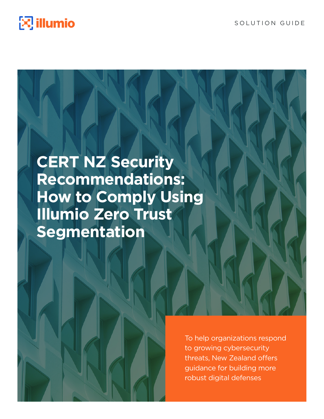

SOLUTION GUIDE

# **CERT NZ Security Recommendations: How to Comply Using Illumio Zero Trust Segmentation**

To help organizations respond to growing cybersecurity threats, New Zealand offers guidance for building more robust digital defenses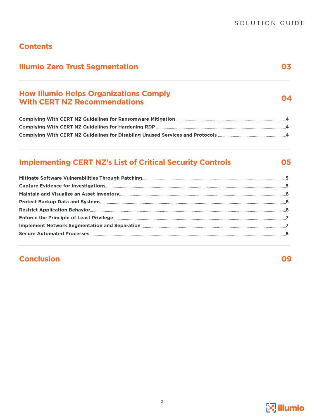## **Contents**

| <b>Illumio Zero Trust Segmentation</b>                           | 03 |
|------------------------------------------------------------------|----|
| <b>How Illumio Helps Organizations Comply</b>                    |    |
| <b>With CERT NZ Recommendations</b>                              |    |
|                                                                  |    |
|                                                                  |    |
|                                                                  |    |
| <b>Implementing CERT NZ's List of Critical Security Controls</b> | 05 |
|                                                                  |    |
|                                                                  |    |
|                                                                  |    |
|                                                                  |    |
|                                                                  |    |
|                                                                  |    |
|                                                                  |    |
|                                                                  |    |

## **Conclusion**

**09**

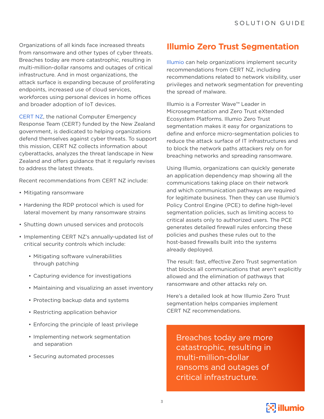Organizations of all kinds face increased threats from ransomware and other types of cyber threats. Breaches today are more catastrophic, resulting in multi-million-dollar ransoms and outages of critical infrastructure. And in most organizations, the attack surface is expanding because of proliferating endpoints, increased use of cloud services, workforces using personal devices in home offices and broader adoption of IoT devices.

[CERT NZ,](https://www.cert.govt.nz/it-specialists/critical-controls/10-critical-controls/) the national Computer Emergency Response Team (CERT) funded by the New Zealand government, is dedicated to helping organizations defend themselves against cyber threats. To support this mission, CERT NZ collects information about cyberattacks, analyzes the threat landscape in New Zealand and offers guidance that it regularly revises to address the latest threats.

Recent recommendations from CERT NZ include:

- Mitigating ransomware
- Hardening the RDP protocol which is used for lateral movement by many ransomware strains
- Shutting down unused services and protocols
- Implementing CERT NZ's annually-updated list of critical security controls which include:
	- Mitigating software vulnerabilities through patching
	- Capturing evidence for investigations
	- Maintaining and visualizing an asset inventory
	- Protecting backup data and systems
	- Restricting application behavior
	- Enforcing the principle of least privilege
	- Implementing network segmentation and separation
	- Securing automated processes

## **Illumio Zero Trust Segmentation**

[Illumio](https://www.illumio.com/) can help organizations implement security recommendations from CERT NZ, including recommendations related to network visibility, user privileges and network segmentation for preventing the spread of malware.

Illumio is a Forrester Wave™ Leader in Microsegmentation and Zero Trust eXtended Ecosystem Platforms. Illumio Zero Trust segmentation makes it easy for organizations to define and enforce micro-segmentation policies to reduce the attack surface of IT infrastructures and to block the network paths attackers rely on for breaching networks and spreading ransomware.

Using Illumio, organizations can quickly generate an application dependency map showing all the communications taking place on their network and which communication pathways are required for legitimate business. Then they can use Illumio's Policy Control Engine (PCE) to define high-level segmentation policies, such as limiting access to critical assets only to authorized users. The PCE generates detailed firewall rules enforcing these policies and pushes these rules out to the host-based firewalls built into the systems already deployed.

The result: fast, effective Zero Trust segmentation that blocks all communications that aren't explicitly allowed and the elimination of pathways that ransomware and other attacks rely on.

Here's a detailed look at how Illumio Zero Trust segmentation helps companies implement CERT NZ recommendations.

Breaches today are more catastrophic, resulting in multi-million-dollar ransoms and outages of critical infrastructure.

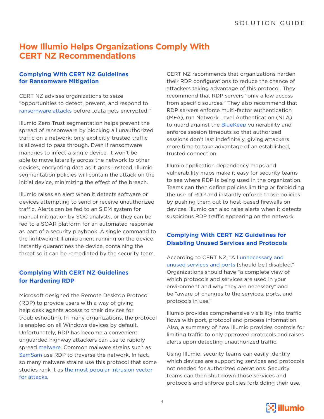## **How Illumio Helps Organizations Comply With CERT NZ Recommendations**

#### **Complying With CERT NZ Guidelines for Ransomware Mitigation**

CERT NZ advises organizations to seize "opportunities to detect, prevent, and respond to [ransomware attacks](https://www.cert.govt.nz/it-specialists/guides/how-ransomware-happens-and-how-to-stop-it/) before…data gets encrypted."

Illumio Zero Trust segmentation helps prevent the spread of ransomware by blocking all unauthorized traffic on a network; only explicitly-trusted traffic is allowed to pass through. Even if ransomware manages to infect a single device, it won't be able to move laterally across the network to other devices, encrypting data as it goes. Instead, Illumio segmentation policies will contain the attack on the initial device, minimizing the effect of the breach.

Illumio raises an alert when it detects software or devices attempting to send or receive unauthorized traffic. Alerts can be fed to an SIEM system for manual mitigation by SOC analysts, or they can be fed to a SOAR platform for an automated response as part of a security playbook. A single command to the lightweight Illumio agent running on the device instantly quarantines the device, containing the threat so it can be remediated by the security team.

#### **Complying With CERT NZ Guidelines for Hardening RDP**

Microsoft designed the Remote Desktop Protocol (RDP) to provide users with a way of giving help desk agents access to their devices for troubleshooting. In many organizations, the protocol is enabled on all Windows devices by default. Unfortunately, RDP has become a convenient, unguarded highway attackers can use to rapidly spread [malware.](https://www.zdnet.com/article/top-exploits-used-by-ransomware-gangs-are-vpn-bugs-but-rdp-still-reigns-supreme/) Common malware strains such as [SamSam](https://www.cisa.gov/uscert/ncas/alerts/AA18-337A) use RDP to traverse the network. In fact, so many malware strains use this protocol that some studies rank it as [the most popular intrusion vector](https://www.zdnet.com/article/top-exploits-used-by-ransomware-gangs-are-vpn-bugs-but-rdp-still-reigns-supreme/)  [for attacks](https://www.zdnet.com/article/top-exploits-used-by-ransomware-gangs-are-vpn-bugs-but-rdp-still-reigns-supreme/).

CERT NZ recommends that organizations harden their RDP configurations to reduce the chance of attackers taking advantage of this protocol. They recommend that RDP servers "only allow access from specific sources." They also recommend that RDP servers enforce multi-factor authentication (MFA), run Network Level Authentication (NLA) to guard against the [BlueKeep](https://www.cisa.gov/uscert/ncas/alerts/AA19-168A) vulnerability and enforce session timeouts so that authorized sessions don't last indefinitely, giving attackers more time to take advantage of an established, trusted connection.

Illumio application dependency maps and vulnerability maps make it easy for security teams to see where RDP is being used in the organization. Teams can then define policies limiting or forbidding the use of RDP and instantly enforce those policies by pushing them out to host-based firewalls on devices. Illumio can also raise alerts when it detects suspicious RDP traffic appearing on the network.

#### **Complying With CERT NZ Guidelines for Disabling Unused Services and Protocols**

According to CERT NZ, "All [unnecessary and](https://www.cert.govt.nz/it-specialists/guides/unused-services-and-protocols/)  [unused services and ports](https://www.cert.govt.nz/it-specialists/guides/unused-services-and-protocols/) [should be] disabled." Organizations should have "a complete view of which protocols and services are used in your environment and why they are necessary" and be "aware of changes to the services, ports, and protocols in use."

Illumio provides comprehensive visibility into traffic flows with port, protocol and process information. Also, a summary of how Illumio provides controls for limiting traffic to only approved protocols and raises alerts upon detecting unauthorized traffic.

Using Illumio, security teams can easily identify which devices are supporting services and protocols not needed for authorized operations. Security teams can then shut down those services and protocols and enforce policies forbidding their use.

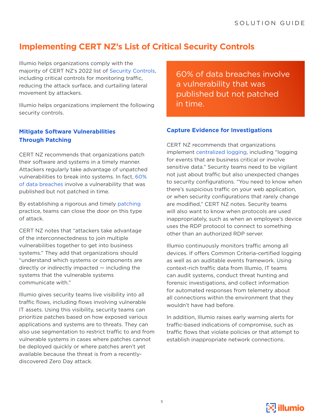# **Implementing CERT NZ's List of Critical Security Controls**

Illumio helps organizations comply with the majority of CERT NZ's 2022 list of [Security Controls,](https://www.cert.govt.nz/it-specialists/critical-controls/10-critical-controls/) including critical controls for monitoring traffic, reducing the attack surface, and curtailing lateral movement by attackers.

Illumio helps organizations implement the following security controls.

#### **Mitigate Software Vulnerabilities Through Patching**

CERT NZ recommends that organizations patch their software and systems in a timely manner. Attackers regularly take advantage of unpatched vulnerabilities to break into systems. In fact, [60%](https://www.darkreading.com/vulnerabilities-threats/unpatched-vulnerabilities-the-source-of-most-data-breaches)  [of data breaches](https://www.darkreading.com/vulnerabilities-threats/unpatched-vulnerabilities-the-source-of-most-data-breaches) involve a vulnerability that was published but not patched in time.

By establishing a rigorous and timely [patching](https://www.cert.govt.nz/it-specialists/critical-controls/patching/) practice, teams can close the door on this type of attack.

CERT NZ notes that "attackers take advantage of the interconnectedness to join multiple vulnerabilities together to get into business systems." They add that organizations should "understand which systems or components are directly or indirectly impacted — including the systems that the vulnerable systems communicate with."

Illumio gives security teams live visibility into all traffic flows, including flows involving vulnerable IT assets. Using this visibility, security teams can prioritize patches based on how exposed various applications and systems are to threats. They can also use segmentation to restrict traffic to and from vulnerable systems in cases where patches cannot be deployed quickly or where patches aren't yet available because the threat is from a recentlydiscovered Zero Day attack.

60% of data breaches involve a vulnerability that was published but not patched in time.

#### **Capture Evidence for Investigations**

CERT NZ recommends that organizations implement [centralized logging](https://www.cert.govt.nz/it-specialists/critical-controls/centralised-logging/), including "logging for events that are business critical or involve sensitive data." Security teams need to be vigilant not just about traffic but also unexpected changes to security configurations. "You need to know when there's suspicious traffic on your web application, or when security configurations that rarely change are modified," CERT NZ notes. Security teams will also want to know when protocols are used inappropriately, such as when an employee's device uses the RDP protocol to connect to something other than an authorized RDP server.

Illumio continuously monitors traffic among all devices. If offers Common Criteria-certified logging as well as an auditable events framework. Using context-rich traffic data from Illumio, IT teams can audit systems, conduct threat hunting and forensic investigations, and collect information for automated responses from telemetry about all connections within the environment that they wouldn't have had before.

In addition, Illumio raises early warning alerts for traffic-based indications of compromise, such as traffic flows that violate policies or that attempt to establish inappropriate network connections.

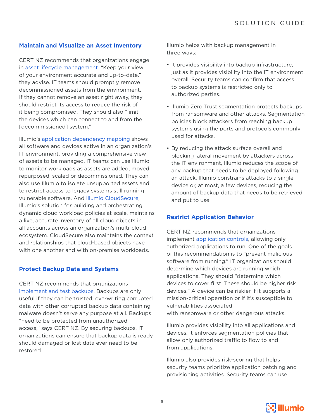#### **Maintain and Visualize an Asset Inventory**

CERT NZ recommends that organizations engage in [asset lifecycle management](https://www.cert.govt.nz/it-specialists/critical-controls/asset-lifecycle-management/). "Keep your view of your environment accurate and up-to-date," they advise. IT teams should promptly remove decommissioned assets from the environment. If they cannot remove an asset right away, they should restrict its access to reduce the risk of it being compromised. They should also "limit the devices which can connect to and from the [decommissioned] system."

Illumio's [application dependency mapping](https://www.illumio.com/resource-center/product-demo-application-dependency-mapping) shows all software and devices active in an organization's IT environment, providing a comprehensive view of assets to be managed. IT teams can use Illumio to monitor workloads as assets are added, moved, repurposed, scaled or decommissioned. They can also use Illumio to isolate unsupported assets and to restrict access to legacy systems still running vulnerable software. And [Illumio CloudSecure,](https://www.illumio.com/products/cloudsecure) Illumio's solution for building and orchestrating dynamic cloud workload policies at scale, maintains a live, accurate inventory of all cloud objects in all accounts across an organization's multi-cloud ecosystem. CloudSecure also maintains the context and relationships that cloud-based objects have with one another and with on-premise workloads.

#### **Protect Backup Data and Systems**

CERT NZ recommends that organizations [implement and test backups.](https://www.cert.govt.nz/it-specialists/critical-controls/implement-and-test-backups/) Backups are only useful if they can be trusted; overwriting corrupted data with other corrupted backup data containing malware doesn't serve any purpose at all. Backups "need to be protected from unauthorized access," says CERT NZ. By securing backups, IT organizations can ensure that backup data is ready should damaged or lost data ever need to be restored.

Illumio helps with backup management in three ways:

- It provides visibility into backup infrastructure, just as it provides visibility into the IT environment overall. Security teams can confirm that access to backup systems is restricted only to authorized parties.
- Illumio Zero Trust segmentation protects backups from ransomware and other attacks. Segmentation policies block attackers from reaching backup systems using the ports and protocols commonly used for attacks.
- By reducing the attack surface overall and blocking lateral movement by attackers across the IT environment, Illumio reduces the scope of any backup that needs to be deployed following an attack. Illumio constrains attacks to a single device or, at most, a few devices, reducing the amount of backup data that needs to be retrieved and put to use.

#### **Restrict Application Behavior**

CERT NZ recommends that organizations implement [application controls](https://www.cert.govt.nz/it-specialists/critical-controls/application-allowlisting/), allowing only authorized applications to run. One of the goals of this recommendation is to "prevent malicious software from running." IT organizations should determine which devices are running which applications. They should "determine which devices to cover first. These should be higher risk devices." A device can be riskier if it supports a mission-critical operation or if it's susceptible to vulnerabilities associated

with ransomware or other dangerous attacks.

Illumio provides visibility into all applications and devices. It enforces segmentation policies that allow only authorized traffic to flow to and from applications.

Illumio also provides risk-scoring that helps security teams prioritize application patching and provisioning activities. Security teams can use

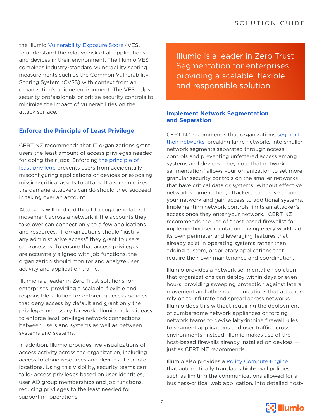the Illumio [Vulnerability Exposure Score](https://www.illumio.com/blog/vulnerability-exposure-score) (VES) to understand the relative risk of all applications and devices in their environment. The Illumio VES combines industry-standard vulnerability scoring measurements such as the Common Vulnerability Scoring System (CVSS) with context from an organization's unique environment. The VES helps security professionals prioritize security controls to minimize the impact of vulnerabilities on the attack surface.

#### **Enforce the Principle of Least Privilege**

CERT NZ recommends that IT organizations grant users the least amount of access privileges needed for doing their jobs. Enforcing [the principle of](https://www.cert.govt.nz/it-specialists/critical-controls/principle-of-least-privilege/)  [least privilege](https://www.cert.govt.nz/it-specialists/critical-controls/principle-of-least-privilege/) prevents users from accidentally misconfiguring applications or devices or exposing mission-critical assets to attack. It also minimizes the damage attackers can do should they succeed in taking over an account.

Attackers will find it difficult to engage in lateral movement across a network if the accounts they take over can connect only to a few applications and resources. IT organizations should "justify any administrative access" they grant to users or processes. To ensure that access privileges are accurately aligned with job functions, the organization should monitor and analyze user activity and application traffic.

Illumio is a leader in Zero Trust solutions for enterprises, providing a scalable, flexible and responsible solution for enforcing access policies that deny access by default and grant only the privileges necessary for work. Illumio makes it easy to enforce least privilege network connections between users and systems as well as between systems and systems.

In addition, Illumio provides live visualizations of access activity across the organization, including access to cloud resources and devices at remote locations. Using this visibility, security teams can tailor access privileges based on user identities, user AD group memberships and job functions, reducing privileges to the least needed for supporting operations.

Illumio is a leader in Zero Trust Segmentation for enterprises, providing a scalable, flexible and responsible solution.

#### **Implement Network Segmentation and Separation**

CERT NZ recommends that organizations [segment](https://www.cert.govt.nz/it-specialists/critical-controls/network-segmentation-and-separation/)  [their networks](https://www.cert.govt.nz/it-specialists/critical-controls/network-segmentation-and-separation/), breaking large networks into smaller network segments separated through access controls and preventing unfettered access among systems and devices. They note that network segmentation "allows your organization to set more granular security controls on the smaller networks that have critical data or systems. Without effective network segmentation, attackers can move around your network and gain access to additional systems. Implementing network controls limits an attacker's access once they enter your network." CERT NZ recommends the use of "host based firewalls" for implementing segmentation, giving every workload its own perimeter and leveraging features that already exist in operating systems rather than adding custom, proprietary applications that require their own maintenance and coordination.

Illumio provides a network segmentation solution that organizations can deploy within days or even hours, providing sweeping protection against lateral movement and other communications that attackers rely on to infiltrate and spread across networks. Illumio does this without requiring the deployment of cumbersome network appliances or forcing network teams to devise labyrinthine firewall rules to segment applications and user traffic across environments. Instead, Illumio makes use of the host-based firewalls already installed on devices just as CERT NZ recommends.

Illumio also provides a [Policy Compute Engine](https://www.illumio.com/resource-center/video-policy-compute-engine-overview) that automatically translates high-level policies, such as limiting the communications allowed for a business-critical web application, into detailed host-

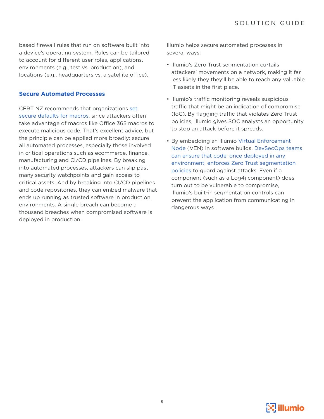based firewall rules that run on software built into a device's operating system. Rules can be tailored to account for different user roles, applications, environments (e.g., test vs. production), and locations (e.g., headquarters vs. a satellite office).

#### **Secure Automated Processes**

CERT NZ recommends that organizations [set](https://www.cert.govt.nz/it-specialists/critical-controls/secure-defaults-for-macros/)  [secure defaults for macros](https://www.cert.govt.nz/it-specialists/critical-controls/secure-defaults-for-macros/), since attackers often take advantage of macros like Office 365 macros to execute malicious code. That's excellent advice, but the principle can be applied more broadly: secure all automated processes, especially those involved in critical operations such as ecommerce, finance, manufacturing and CI/CD pipelines. By breaking into automated processes, attackers can slip past many security watchpoints and gain access to critical assets. And by breaking into CI/CD pipelines and code repositories, they can embed malware that ends up running as trusted software in production environments. A single breach can become a thousand breaches when compromised software is deployed in production.

Illumio helps secure automated processes in several ways:

- Illumio's Zero Trust segmentation curtails attackers' movements on a network, making it far less likely they they'll be able to reach any valuable IT assets in the first place.
- Illumio's traffic monitoring reveals suspicious traffic that might be an indication of compromise (IoC). By flagging traffic that violates Zero Trust policies, Illumio gives SOC analysts an opportunity to stop an attack before it spreads.
- By embedding an Illumio [Virtual Enforcement](https://www.illumio.com/product/architecture/virtual-enforcement-node)  [Node](https://www.illumio.com/product/architecture/virtual-enforcement-node) (VEN) in software builds, [DevSecOps teams](https://www.illumio.com/blog/log4j-vulnerabilities-devsecops)  [can ensure that code](https://www.illumio.com/blog/log4j-vulnerabilities-devsecops), [once deployed in any](https://www.illumio.com/blog/log4j-vulnerabilities-devsecops)  [environment](https://www.illumio.com/blog/log4j-vulnerabilities-devsecops), [enforces Zero Trust segmentation](https://www.illumio.com/blog/log4j-vulnerabilities-devsecops)  [policies](https://www.illumio.com/blog/log4j-vulnerabilities-devsecops) to guard against attacks. Even if a component (such as a Log4j component) does turn out to be vulnerable to compromise, Illumio's built-in segmentation controls can prevent the application from communicating in dangerous ways.